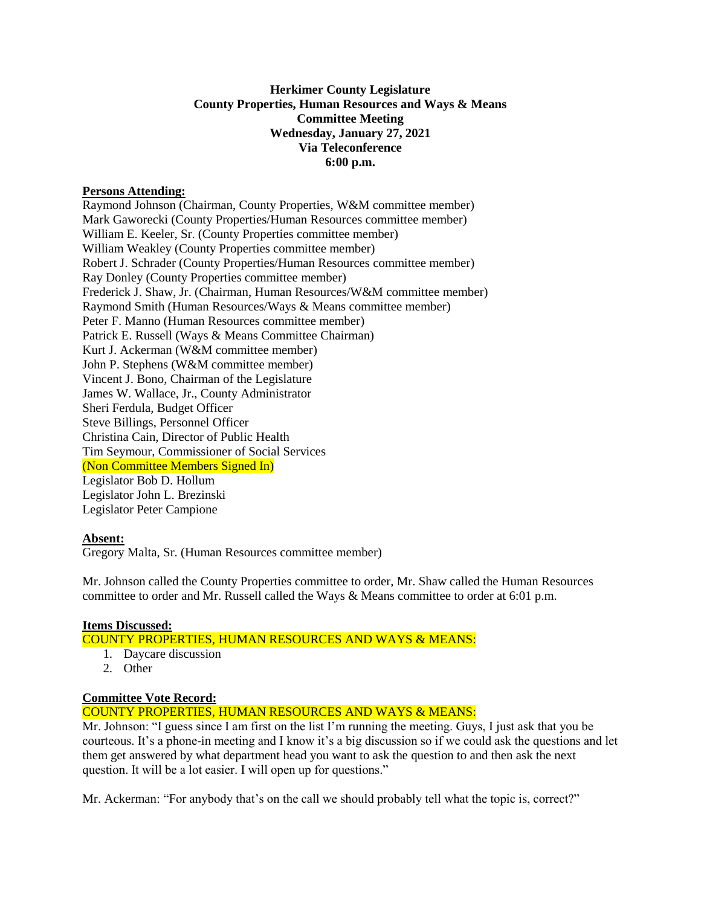# **Herkimer County Legislature County Properties, Human Resources and Ways & Means Committee Meeting Wednesday, January 27, 2021 Via Teleconference 6:00 p.m.**

#### **Persons Attending:**

Raymond Johnson (Chairman, County Properties, W&M committee member) Mark Gaworecki (County Properties/Human Resources committee member) William E. Keeler, Sr. (County Properties committee member) William Weakley (County Properties committee member) Robert J. Schrader (County Properties/Human Resources committee member) Ray Donley (County Properties committee member) Frederick J. Shaw, Jr. (Chairman, Human Resources/W&M committee member) Raymond Smith (Human Resources/Ways & Means committee member) Peter F. Manno (Human Resources committee member) Patrick E. Russell (Ways & Means Committee Chairman) Kurt J. Ackerman (W&M committee member) John P. Stephens (W&M committee member) Vincent J. Bono, Chairman of the Legislature James W. Wallace, Jr., County Administrator Sheri Ferdula, Budget Officer Steve Billings, Personnel Officer Christina Cain, Director of Public Health Tim Seymour, Commissioner of Social Services (Non Committee Members Signed In) Legislator Bob D. Hollum Legislator John L. Brezinski Legislator Peter Campione

## **Absent:**

Gregory Malta, Sr. (Human Resources committee member)

Mr. Johnson called the County Properties committee to order, Mr. Shaw called the Human Resources committee to order and Mr. Russell called the Ways & Means committee to order at 6:01 p.m.

## **Items Discussed:**

## COUNTY PROPERTIES, HUMAN RESOURCES AND WAYS & MEANS:

- 1. Daycare discussion
- 2. Other

## **Committee Vote Record:**

# COUNTY PROPERTIES, HUMAN RESOURCES AND WAYS & MEANS:

Mr. Johnson: "I guess since I am first on the list I'm running the meeting. Guys, I just ask that you be courteous. It's a phone-in meeting and I know it's a big discussion so if we could ask the questions and let them get answered by what department head you want to ask the question to and then ask the next question. It will be a lot easier. I will open up for questions."

Mr. Ackerman: "For anybody that's on the call we should probably tell what the topic is, correct?"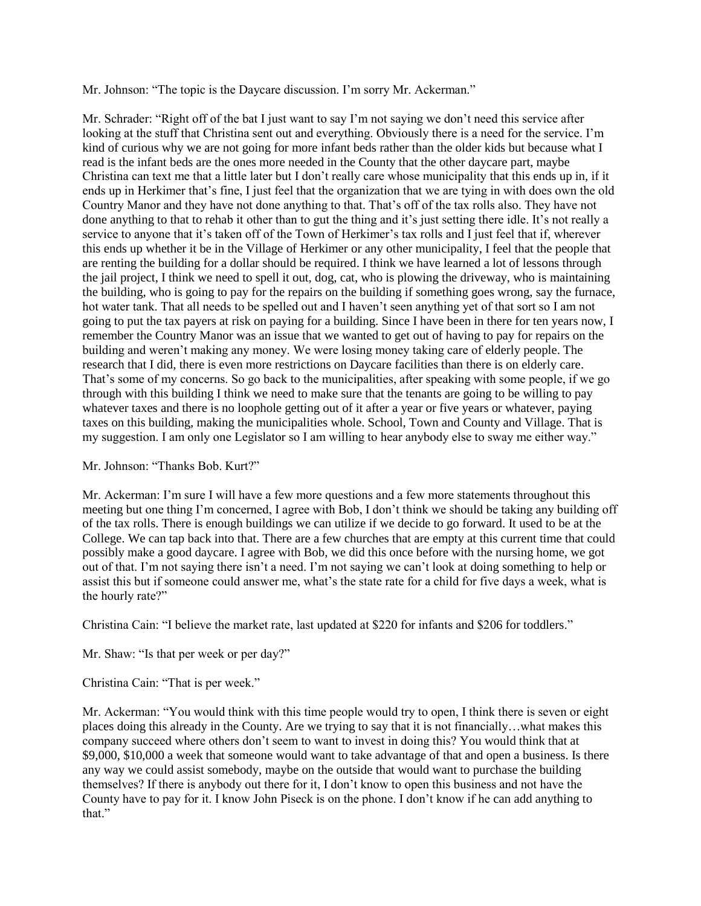Mr. Johnson: "The topic is the Daycare discussion. I'm sorry Mr. Ackerman."

Mr. Schrader: "Right off of the bat I just want to say I'm not saying we don't need this service after looking at the stuff that Christina sent out and everything. Obviously there is a need for the service. I'm kind of curious why we are not going for more infant beds rather than the older kids but because what I read is the infant beds are the ones more needed in the County that the other daycare part, maybe Christina can text me that a little later but I don't really care whose municipality that this ends up in, if it ends up in Herkimer that's fine, I just feel that the organization that we are tying in with does own the old Country Manor and they have not done anything to that. That's off of the tax rolls also. They have not done anything to that to rehab it other than to gut the thing and it's just setting there idle. It's not really a service to anyone that it's taken off of the Town of Herkimer's tax rolls and I just feel that if, wherever this ends up whether it be in the Village of Herkimer or any other municipality, I feel that the people that are renting the building for a dollar should be required. I think we have learned a lot of lessons through the jail project, I think we need to spell it out, dog, cat, who is plowing the driveway, who is maintaining the building, who is going to pay for the repairs on the building if something goes wrong, say the furnace, hot water tank. That all needs to be spelled out and I haven't seen anything yet of that sort so I am not going to put the tax payers at risk on paying for a building. Since I have been in there for ten years now, I remember the Country Manor was an issue that we wanted to get out of having to pay for repairs on the building and weren't making any money. We were losing money taking care of elderly people. The research that I did, there is even more restrictions on Daycare facilities than there is on elderly care. That's some of my concerns. So go back to the municipalities, after speaking with some people, if we go through with this building I think we need to make sure that the tenants are going to be willing to pay whatever taxes and there is no loophole getting out of it after a year or five years or whatever, paying taxes on this building, making the municipalities whole. School, Town and County and Village. That is my suggestion. I am only one Legislator so I am willing to hear anybody else to sway me either way."

Mr. Johnson: "Thanks Bob. Kurt?"

Mr. Ackerman: I'm sure I will have a few more questions and a few more statements throughout this meeting but one thing I'm concerned, I agree with Bob, I don't think we should be taking any building off of the tax rolls. There is enough buildings we can utilize if we decide to go forward. It used to be at the College. We can tap back into that. There are a few churches that are empty at this current time that could possibly make a good daycare. I agree with Bob, we did this once before with the nursing home, we got out of that. I'm not saying there isn't a need. I'm not saying we can't look at doing something to help or assist this but if someone could answer me, what's the state rate for a child for five days a week, what is the hourly rate?"

Christina Cain: "I believe the market rate, last updated at \$220 for infants and \$206 for toddlers."

Mr. Shaw: "Is that per week or per day?"

Christina Cain: "That is per week."

Mr. Ackerman: "You would think with this time people would try to open, I think there is seven or eight places doing this already in the County. Are we trying to say that it is not financially…what makes this company succeed where others don't seem to want to invest in doing this? You would think that at \$9,000, \$10,000 a week that someone would want to take advantage of that and open a business. Is there any way we could assist somebody, maybe on the outside that would want to purchase the building themselves? If there is anybody out there for it, I don't know to open this business and not have the County have to pay for it. I know John Piseck is on the phone. I don't know if he can add anything to that."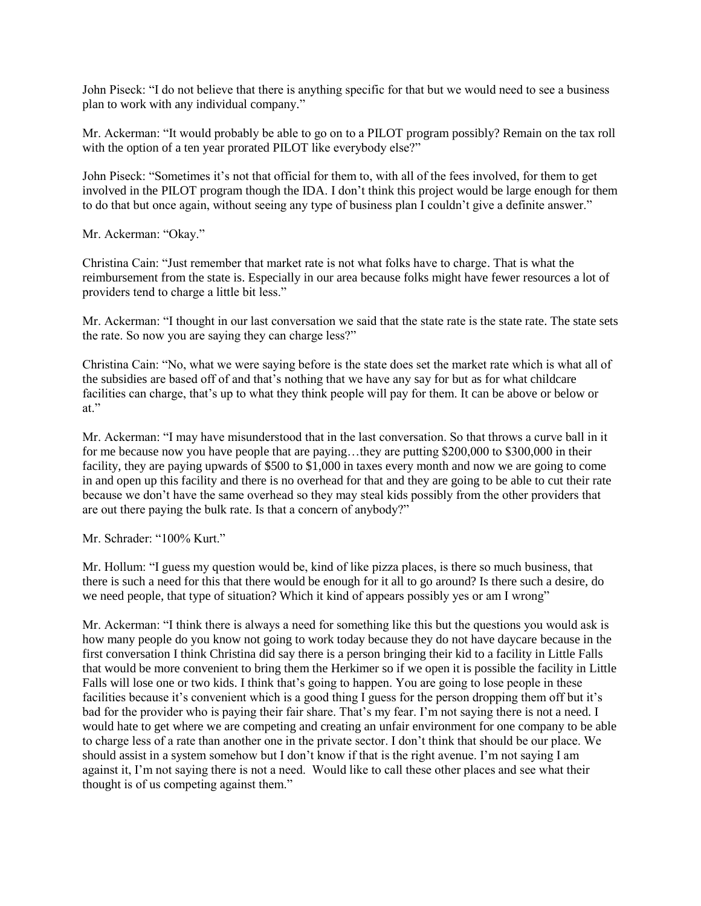John Piseck: "I do not believe that there is anything specific for that but we would need to see a business plan to work with any individual company."

Mr. Ackerman: "It would probably be able to go on to a PILOT program possibly? Remain on the tax roll with the option of a ten year prorated PILOT like everybody else?"

John Piseck: "Sometimes it's not that official for them to, with all of the fees involved, for them to get involved in the PILOT program though the IDA. I don't think this project would be large enough for them to do that but once again, without seeing any type of business plan I couldn't give a definite answer."

Mr. Ackerman: "Okay."

Christina Cain: "Just remember that market rate is not what folks have to charge. That is what the reimbursement from the state is. Especially in our area because folks might have fewer resources a lot of providers tend to charge a little bit less."

Mr. Ackerman: "I thought in our last conversation we said that the state rate is the state rate. The state sets the rate. So now you are saying they can charge less?"

Christina Cain: "No, what we were saying before is the state does set the market rate which is what all of the subsidies are based off of and that's nothing that we have any say for but as for what childcare facilities can charge, that's up to what they think people will pay for them. It can be above or below or at."

Mr. Ackerman: "I may have misunderstood that in the last conversation. So that throws a curve ball in it for me because now you have people that are paying...they are putting \$200,000 to \$300,000 in their facility, they are paying upwards of \$500 to \$1,000 in taxes every month and now we are going to come in and open up this facility and there is no overhead for that and they are going to be able to cut their rate because we don't have the same overhead so they may steal kids possibly from the other providers that are out there paying the bulk rate. Is that a concern of anybody?"

Mr. Schrader: "100% Kurt."

Mr. Hollum: "I guess my question would be, kind of like pizza places, is there so much business, that there is such a need for this that there would be enough for it all to go around? Is there such a desire, do we need people, that type of situation? Which it kind of appears possibly yes or am I wrong"

Mr. Ackerman: "I think there is always a need for something like this but the questions you would ask is how many people do you know not going to work today because they do not have daycare because in the first conversation I think Christina did say there is a person bringing their kid to a facility in Little Falls that would be more convenient to bring them the Herkimer so if we open it is possible the facility in Little Falls will lose one or two kids. I think that's going to happen. You are going to lose people in these facilities because it's convenient which is a good thing I guess for the person dropping them off but it's bad for the provider who is paying their fair share. That's my fear. I'm not saying there is not a need. I would hate to get where we are competing and creating an unfair environment for one company to be able to charge less of a rate than another one in the private sector. I don't think that should be our place. We should assist in a system somehow but I don't know if that is the right avenue. I'm not saying I am against it, I'm not saying there is not a need. Would like to call these other places and see what their thought is of us competing against them."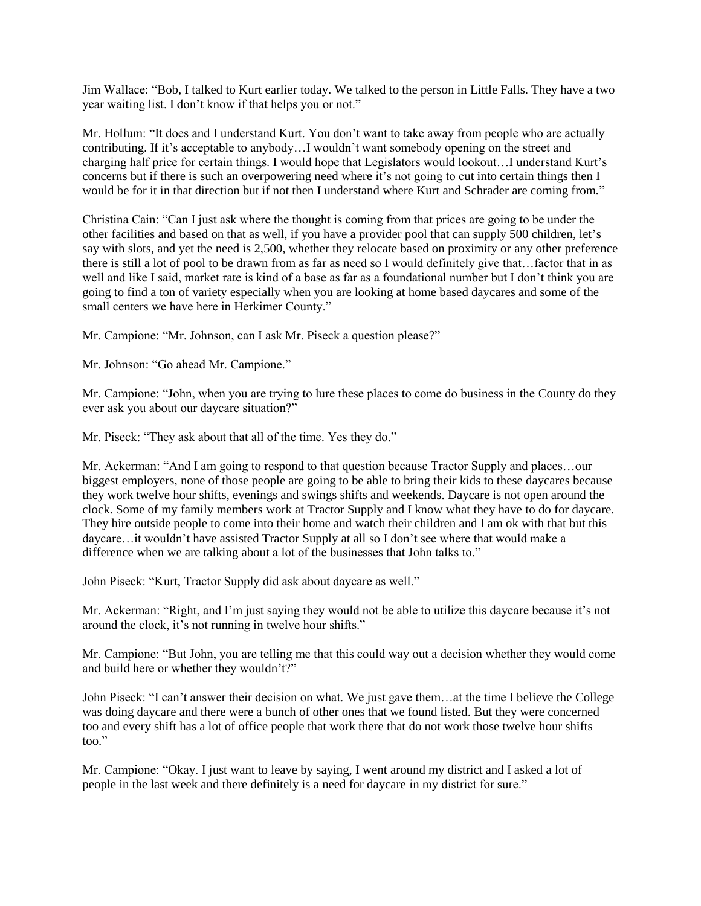Jim Wallace: "Bob, I talked to Kurt earlier today. We talked to the person in Little Falls. They have a two year waiting list. I don't know if that helps you or not."

Mr. Hollum: "It does and I understand Kurt. You don't want to take away from people who are actually contributing. If it's acceptable to anybody…I wouldn't want somebody opening on the street and charging half price for certain things. I would hope that Legislators would lookout…I understand Kurt's concerns but if there is such an overpowering need where it's not going to cut into certain things then I would be for it in that direction but if not then I understand where Kurt and Schrader are coming from."

Christina Cain: "Can I just ask where the thought is coming from that prices are going to be under the other facilities and based on that as well, if you have a provider pool that can supply 500 children, let's say with slots, and yet the need is 2,500, whether they relocate based on proximity or any other preference there is still a lot of pool to be drawn from as far as need so I would definitely give that…factor that in as well and like I said, market rate is kind of a base as far as a foundational number but I don't think you are going to find a ton of variety especially when you are looking at home based daycares and some of the small centers we have here in Herkimer County."

Mr. Campione: "Mr. Johnson, can I ask Mr. Piseck a question please?"

Mr. Johnson: "Go ahead Mr. Campione."

Mr. Campione: "John, when you are trying to lure these places to come do business in the County do they ever ask you about our daycare situation?"

Mr. Piseck: "They ask about that all of the time. Yes they do."

Mr. Ackerman: "And I am going to respond to that question because Tractor Supply and places…our biggest employers, none of those people are going to be able to bring their kids to these daycares because they work twelve hour shifts, evenings and swings shifts and weekends. Daycare is not open around the clock. Some of my family members work at Tractor Supply and I know what they have to do for daycare. They hire outside people to come into their home and watch their children and I am ok with that but this daycare…it wouldn't have assisted Tractor Supply at all so I don't see where that would make a difference when we are talking about a lot of the businesses that John talks to."

John Piseck: "Kurt, Tractor Supply did ask about daycare as well."

Mr. Ackerman: "Right, and I'm just saying they would not be able to utilize this daycare because it's not around the clock, it's not running in twelve hour shifts."

Mr. Campione: "But John, you are telling me that this could way out a decision whether they would come and build here or whether they wouldn't?"

John Piseck: "I can't answer their decision on what. We just gave them…at the time I believe the College was doing daycare and there were a bunch of other ones that we found listed. But they were concerned too and every shift has a lot of office people that work there that do not work those twelve hour shifts too."

Mr. Campione: "Okay. I just want to leave by saying, I went around my district and I asked a lot of people in the last week and there definitely is a need for daycare in my district for sure."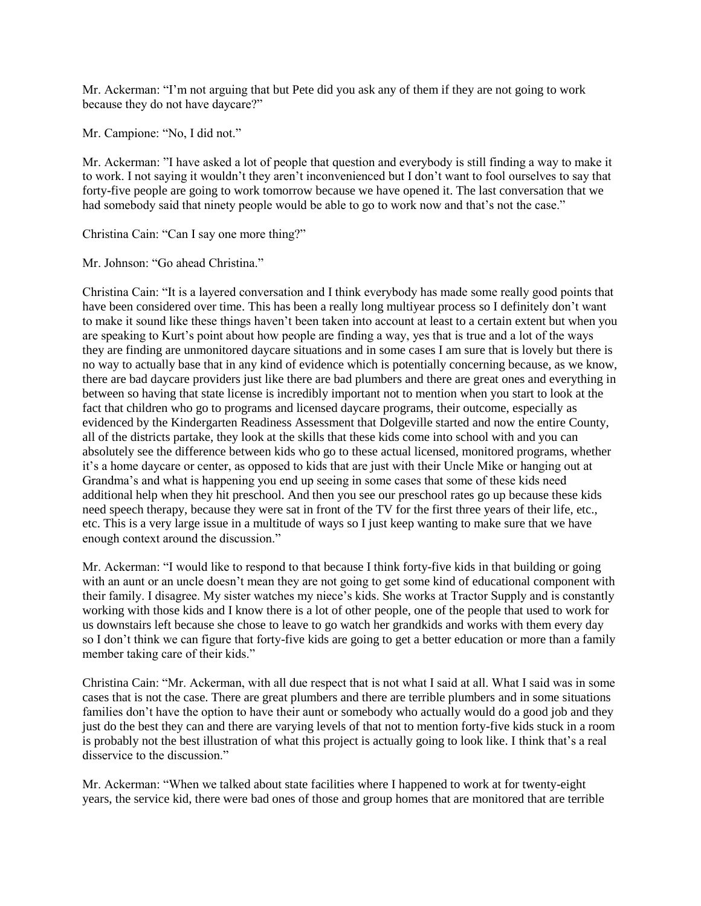Mr. Ackerman: "I'm not arguing that but Pete did you ask any of them if they are not going to work because they do not have daycare?"

Mr. Campione: "No, I did not."

Mr. Ackerman: "I have asked a lot of people that question and everybody is still finding a way to make it to work. I not saying it wouldn't they aren't inconvenienced but I don't want to fool ourselves to say that forty-five people are going to work tomorrow because we have opened it. The last conversation that we had somebody said that ninety people would be able to go to work now and that's not the case."

Christina Cain: "Can I say one more thing?"

Mr. Johnson: "Go ahead Christina."

Christina Cain: "It is a layered conversation and I think everybody has made some really good points that have been considered over time. This has been a really long multiyear process so I definitely don't want to make it sound like these things haven't been taken into account at least to a certain extent but when you are speaking to Kurt's point about how people are finding a way, yes that is true and a lot of the ways they are finding are unmonitored daycare situations and in some cases I am sure that is lovely but there is no way to actually base that in any kind of evidence which is potentially concerning because, as we know, there are bad daycare providers just like there are bad plumbers and there are great ones and everything in between so having that state license is incredibly important not to mention when you start to look at the fact that children who go to programs and licensed daycare programs, their outcome, especially as evidenced by the Kindergarten Readiness Assessment that Dolgeville started and now the entire County, all of the districts partake, they look at the skills that these kids come into school with and you can absolutely see the difference between kids who go to these actual licensed, monitored programs, whether it's a home daycare or center, as opposed to kids that are just with their Uncle Mike or hanging out at Grandma's and what is happening you end up seeing in some cases that some of these kids need additional help when they hit preschool. And then you see our preschool rates go up because these kids need speech therapy, because they were sat in front of the TV for the first three years of their life, etc., etc. This is a very large issue in a multitude of ways so I just keep wanting to make sure that we have enough context around the discussion."

Mr. Ackerman: "I would like to respond to that because I think forty-five kids in that building or going with an aunt or an uncle doesn't mean they are not going to get some kind of educational component with their family. I disagree. My sister watches my niece's kids. She works at Tractor Supply and is constantly working with those kids and I know there is a lot of other people, one of the people that used to work for us downstairs left because she chose to leave to go watch her grandkids and works with them every day so I don't think we can figure that forty-five kids are going to get a better education or more than a family member taking care of their kids."

Christina Cain: "Mr. Ackerman, with all due respect that is not what I said at all. What I said was in some cases that is not the case. There are great plumbers and there are terrible plumbers and in some situations families don't have the option to have their aunt or somebody who actually would do a good job and they just do the best they can and there are varying levels of that not to mention forty-five kids stuck in a room is probably not the best illustration of what this project is actually going to look like. I think that's a real disservice to the discussion."

Mr. Ackerman: "When we talked about state facilities where I happened to work at for twenty-eight years, the service kid, there were bad ones of those and group homes that are monitored that are terrible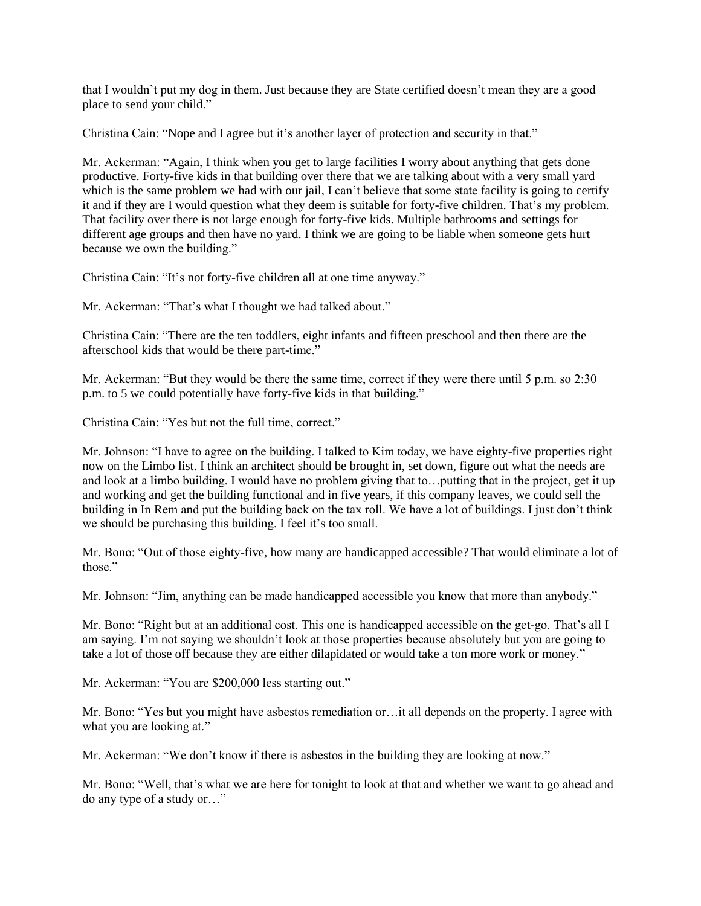that I wouldn't put my dog in them. Just because they are State certified doesn't mean they are a good place to send your child."

Christina Cain: "Nope and I agree but it's another layer of protection and security in that."

Mr. Ackerman: "Again, I think when you get to large facilities I worry about anything that gets done productive. Forty-five kids in that building over there that we are talking about with a very small yard which is the same problem we had with our jail, I can't believe that some state facility is going to certify it and if they are I would question what they deem is suitable for forty-five children. That's my problem. That facility over there is not large enough for forty-five kids. Multiple bathrooms and settings for different age groups and then have no yard. I think we are going to be liable when someone gets hurt because we own the building."

Christina Cain: "It's not forty-five children all at one time anyway."

Mr. Ackerman: "That's what I thought we had talked about."

Christina Cain: "There are the ten toddlers, eight infants and fifteen preschool and then there are the afterschool kids that would be there part-time."

Mr. Ackerman: "But they would be there the same time, correct if they were there until 5 p.m. so 2:30 p.m. to 5 we could potentially have forty-five kids in that building."

Christina Cain: "Yes but not the full time, correct."

Mr. Johnson: "I have to agree on the building. I talked to Kim today, we have eighty-five properties right now on the Limbo list. I think an architect should be brought in, set down, figure out what the needs are and look at a limbo building. I would have no problem giving that to…putting that in the project, get it up and working and get the building functional and in five years, if this company leaves, we could sell the building in In Rem and put the building back on the tax roll. We have a lot of buildings. I just don't think we should be purchasing this building. I feel it's too small.

Mr. Bono: "Out of those eighty-five, how many are handicapped accessible? That would eliminate a lot of those."

Mr. Johnson: "Jim, anything can be made handicapped accessible you know that more than anybody."

Mr. Bono: "Right but at an additional cost. This one is handicapped accessible on the get-go. That's all I am saying. I'm not saying we shouldn't look at those properties because absolutely but you are going to take a lot of those off because they are either dilapidated or would take a ton more work or money."

Mr. Ackerman: "You are \$200,000 less starting out."

Mr. Bono: "Yes but you might have asbestos remediation or…it all depends on the property. I agree with what you are looking at."

Mr. Ackerman: "We don't know if there is asbestos in the building they are looking at now."

Mr. Bono: "Well, that's what we are here for tonight to look at that and whether we want to go ahead and do any type of a study or…"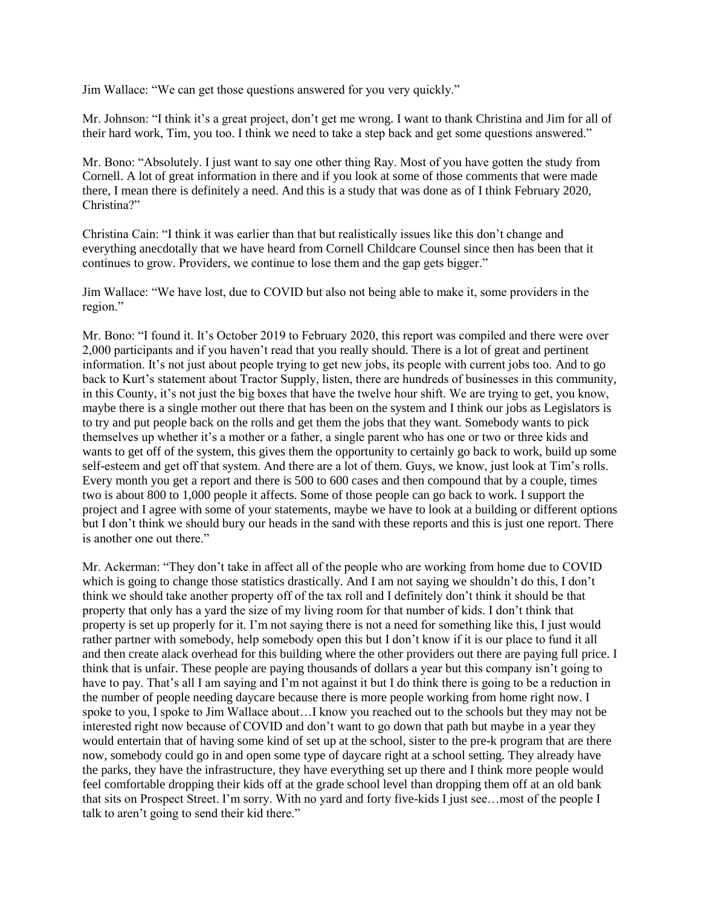Jim Wallace: "We can get those questions answered for you very quickly."

Mr. Johnson: "I think it's a great project, don't get me wrong. I want to thank Christina and Jim for all of their hard work, Tim, you too. I think we need to take a step back and get some questions answered."

Mr. Bono: "Absolutely. I just want to say one other thing Ray. Most of you have gotten the study from Cornell. A lot of great information in there and if you look at some of those comments that were made there, I mean there is definitely a need. And this is a study that was done as of I think February 2020, Christina?"

Christina Cain: "I think it was earlier than that but realistically issues like this don't change and everything anecdotally that we have heard from Cornell Childcare Counsel since then has been that it continues to grow. Providers, we continue to lose them and the gap gets bigger."

Jim Wallace: "We have lost, due to COVID but also not being able to make it, some providers in the region."

Mr. Bono: "I found it. It's October 2019 to February 2020, this report was compiled and there were over 2,000 participants and if you haven't read that you really should. There is a lot of great and pertinent information. It's not just about people trying to get new jobs, its people with current jobs too. And to go back to Kurt's statement about Tractor Supply, listen, there are hundreds of businesses in this community, in this County, it's not just the big boxes that have the twelve hour shift. We are trying to get, you know, maybe there is a single mother out there that has been on the system and I think our jobs as Legislators is to try and put people back on the rolls and get them the jobs that they want. Somebody wants to pick themselves up whether it's a mother or a father, a single parent who has one or two or three kids and wants to get off of the system, this gives them the opportunity to certainly go back to work, build up some self-esteem and get off that system. And there are a lot of them. Guys, we know, just look at Tim's rolls. Every month you get a report and there is 500 to 600 cases and then compound that by a couple, times two is about 800 to 1,000 people it affects. Some of those people can go back to work. I support the project and I agree with some of your statements, maybe we have to look at a building or different options but I don't think we should bury our heads in the sand with these reports and this is just one report. There is another one out there."

Mr. Ackerman: "They don't take in affect all of the people who are working from home due to COVID which is going to change those statistics drastically. And I am not saying we shouldn't do this, I don't think we should take another property off of the tax roll and I definitely don't think it should be that property that only has a yard the size of my living room for that number of kids. I don't think that property is set up properly for it. I'm not saying there is not a need for something like this, I just would rather partner with somebody, help somebody open this but I don't know if it is our place to fund it all and then create alack overhead for this building where the other providers out there are paying full price. I think that is unfair. These people are paying thousands of dollars a year but this company isn't going to have to pay. That's all I am saying and I'm not against it but I do think there is going to be a reduction in the number of people needing daycare because there is more people working from home right now. I spoke to you, I spoke to Jim Wallace about…I know you reached out to the schools but they may not be interested right now because of COVID and don't want to go down that path but maybe in a year they would entertain that of having some kind of set up at the school, sister to the pre-k program that are there now, somebody could go in and open some type of daycare right at a school setting. They already have the parks, they have the infrastructure, they have everything set up there and I think more people would feel comfortable dropping their kids off at the grade school level than dropping them off at an old bank that sits on Prospect Street. I'm sorry. With no yard and forty five-kids I just see…most of the people I talk to aren't going to send their kid there."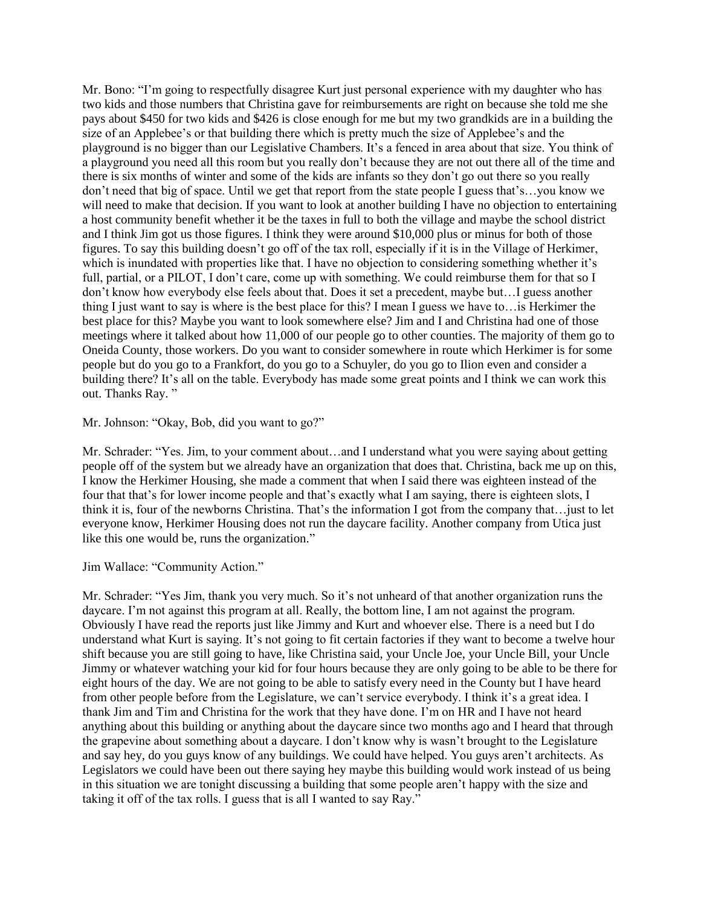Mr. Bono: "I'm going to respectfully disagree Kurt just personal experience with my daughter who has two kids and those numbers that Christina gave for reimbursements are right on because she told me she pays about \$450 for two kids and \$426 is close enough for me but my two grandkids are in a building the size of an Applebee's or that building there which is pretty much the size of Applebee's and the playground is no bigger than our Legislative Chambers. It's a fenced in area about that size. You think of a playground you need all this room but you really don't because they are not out there all of the time and there is six months of winter and some of the kids are infants so they don't go out there so you really don't need that big of space. Until we get that report from the state people I guess that's…you know we will need to make that decision. If you want to look at another building I have no objection to entertaining a host community benefit whether it be the taxes in full to both the village and maybe the school district and I think Jim got us those figures. I think they were around \$10,000 plus or minus for both of those figures. To say this building doesn't go off of the tax roll, especially if it is in the Village of Herkimer, which is inundated with properties like that. I have no objection to considering something whether it's full, partial, or a PILOT, I don't care, come up with something. We could reimburse them for that so I don't know how everybody else feels about that. Does it set a precedent, maybe but…I guess another thing I just want to say is where is the best place for this? I mean I guess we have to…is Herkimer the best place for this? Maybe you want to look somewhere else? Jim and I and Christina had one of those meetings where it talked about how 11,000 of our people go to other counties. The majority of them go to Oneida County, those workers. Do you want to consider somewhere in route which Herkimer is for some people but do you go to a Frankfort, do you go to a Schuyler, do you go to Ilion even and consider a building there? It's all on the table. Everybody has made some great points and I think we can work this out. Thanks Ray. "

Mr. Johnson: "Okay, Bob, did you want to go?"

Mr. Schrader: "Yes. Jim, to your comment about…and I understand what you were saying about getting people off of the system but we already have an organization that does that. Christina, back me up on this, I know the Herkimer Housing, she made a comment that when I said there was eighteen instead of the four that that's for lower income people and that's exactly what I am saying, there is eighteen slots, I think it is, four of the newborns Christina. That's the information I got from the company that…just to let everyone know, Herkimer Housing does not run the daycare facility. Another company from Utica just like this one would be, runs the organization."

Jim Wallace: "Community Action."

Mr. Schrader: "Yes Jim, thank you very much. So it's not unheard of that another organization runs the daycare. I'm not against this program at all. Really, the bottom line, I am not against the program. Obviously I have read the reports just like Jimmy and Kurt and whoever else. There is a need but I do understand what Kurt is saying. It's not going to fit certain factories if they want to become a twelve hour shift because you are still going to have, like Christina said, your Uncle Joe, your Uncle Bill, your Uncle Jimmy or whatever watching your kid for four hours because they are only going to be able to be there for eight hours of the day. We are not going to be able to satisfy every need in the County but I have heard from other people before from the Legislature, we can't service everybody. I think it's a great idea. I thank Jim and Tim and Christina for the work that they have done. I'm on HR and I have not heard anything about this building or anything about the daycare since two months ago and I heard that through the grapevine about something about a daycare. I don't know why is wasn't brought to the Legislature and say hey, do you guys know of any buildings. We could have helped. You guys aren't architects. As Legislators we could have been out there saying hey maybe this building would work instead of us being in this situation we are tonight discussing a building that some people aren't happy with the size and taking it off of the tax rolls. I guess that is all I wanted to say Ray."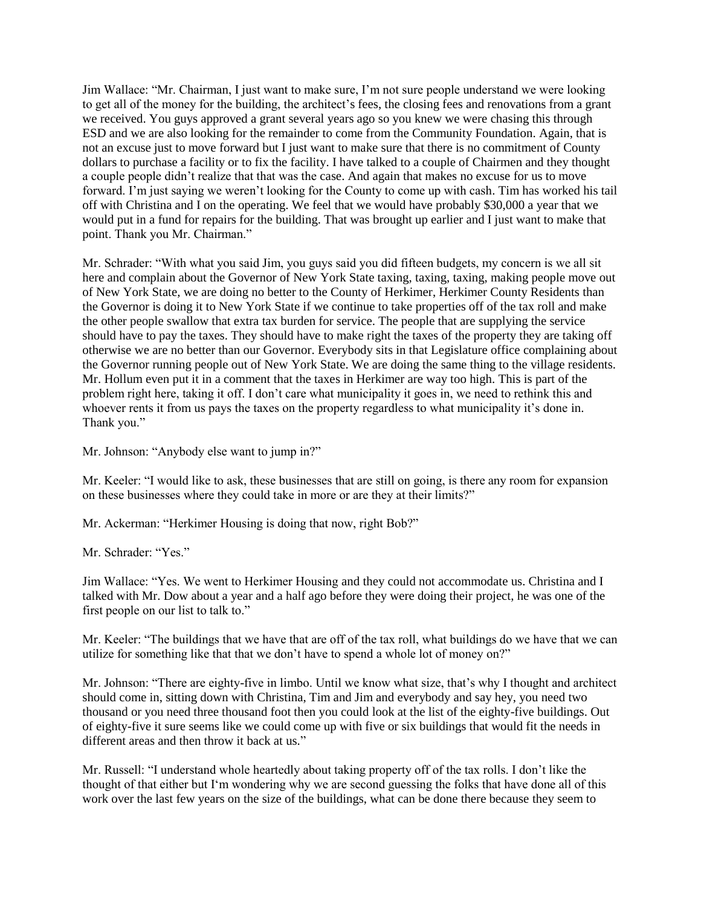Jim Wallace: "Mr. Chairman, I just want to make sure, I'm not sure people understand we were looking to get all of the money for the building, the architect's fees, the closing fees and renovations from a grant we received. You guys approved a grant several years ago so you knew we were chasing this through ESD and we are also looking for the remainder to come from the Community Foundation. Again, that is not an excuse just to move forward but I just want to make sure that there is no commitment of County dollars to purchase a facility or to fix the facility. I have talked to a couple of Chairmen and they thought a couple people didn't realize that that was the case. And again that makes no excuse for us to move forward. I'm just saying we weren't looking for the County to come up with cash. Tim has worked his tail off with Christina and I on the operating. We feel that we would have probably \$30,000 a year that we would put in a fund for repairs for the building. That was brought up earlier and I just want to make that point. Thank you Mr. Chairman."

Mr. Schrader: "With what you said Jim, you guys said you did fifteen budgets, my concern is we all sit here and complain about the Governor of New York State taxing, taxing, taxing, making people move out of New York State, we are doing no better to the County of Herkimer, Herkimer County Residents than the Governor is doing it to New York State if we continue to take properties off of the tax roll and make the other people swallow that extra tax burden for service. The people that are supplying the service should have to pay the taxes. They should have to make right the taxes of the property they are taking off otherwise we are no better than our Governor. Everybody sits in that Legislature office complaining about the Governor running people out of New York State. We are doing the same thing to the village residents. Mr. Hollum even put it in a comment that the taxes in Herkimer are way too high. This is part of the problem right here, taking it off. I don't care what municipality it goes in, we need to rethink this and whoever rents it from us pays the taxes on the property regardless to what municipality it's done in. Thank you."

Mr. Johnson: "Anybody else want to jump in?"

Mr. Keeler: "I would like to ask, these businesses that are still on going, is there any room for expansion on these businesses where they could take in more or are they at their limits?"

Mr. Ackerman: "Herkimer Housing is doing that now, right Bob?"

Mr. Schrader: "Yes."

Jim Wallace: "Yes. We went to Herkimer Housing and they could not accommodate us. Christina and I talked with Mr. Dow about a year and a half ago before they were doing their project, he was one of the first people on our list to talk to."

Mr. Keeler: "The buildings that we have that are off of the tax roll, what buildings do we have that we can utilize for something like that that we don't have to spend a whole lot of money on?"

Mr. Johnson: "There are eighty-five in limbo. Until we know what size, that's why I thought and architect should come in, sitting down with Christina, Tim and Jim and everybody and say hey, you need two thousand or you need three thousand foot then you could look at the list of the eighty-five buildings. Out of eighty-five it sure seems like we could come up with five or six buildings that would fit the needs in different areas and then throw it back at us."

Mr. Russell: "I understand whole heartedly about taking property off of the tax rolls. I don't like the thought of that either but I'm wondering why we are second guessing the folks that have done all of this work over the last few years on the size of the buildings, what can be done there because they seem to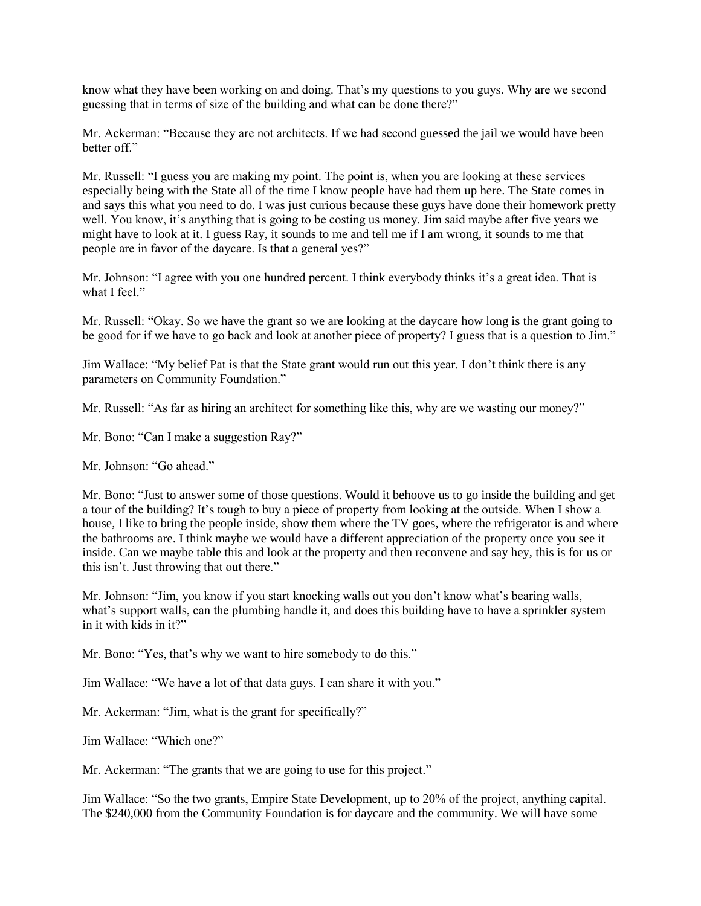know what they have been working on and doing. That's my questions to you guys. Why are we second guessing that in terms of size of the building and what can be done there?"

Mr. Ackerman: "Because they are not architects. If we had second guessed the jail we would have been better off."

Mr. Russell: "I guess you are making my point. The point is, when you are looking at these services especially being with the State all of the time I know people have had them up here. The State comes in and says this what you need to do. I was just curious because these guys have done their homework pretty well. You know, it's anything that is going to be costing us money. Jim said maybe after five years we might have to look at it. I guess Ray, it sounds to me and tell me if I am wrong, it sounds to me that people are in favor of the daycare. Is that a general yes?"

Mr. Johnson: "I agree with you one hundred percent. I think everybody thinks it's a great idea. That is what I feel."

Mr. Russell: "Okay. So we have the grant so we are looking at the daycare how long is the grant going to be good for if we have to go back and look at another piece of property? I guess that is a question to Jim."

Jim Wallace: "My belief Pat is that the State grant would run out this year. I don't think there is any parameters on Community Foundation."

Mr. Russell: "As far as hiring an architect for something like this, why are we wasting our money?"

Mr. Bono: "Can I make a suggestion Ray?"

Mr. Johnson: "Go ahead."

Mr. Bono: "Just to answer some of those questions. Would it behoove us to go inside the building and get a tour of the building? It's tough to buy a piece of property from looking at the outside. When I show a house, I like to bring the people inside, show them where the TV goes, where the refrigerator is and where the bathrooms are. I think maybe we would have a different appreciation of the property once you see it inside. Can we maybe table this and look at the property and then reconvene and say hey, this is for us or this isn't. Just throwing that out there."

Mr. Johnson: "Jim, you know if you start knocking walls out you don't know what's bearing walls, what's support walls, can the plumbing handle it, and does this building have to have a sprinkler system in it with kids in it?"

Mr. Bono: "Yes, that's why we want to hire somebody to do this."

Jim Wallace: "We have a lot of that data guys. I can share it with you."

Mr. Ackerman: "Jim, what is the grant for specifically?"

Jim Wallace: "Which one?"

Mr. Ackerman: "The grants that we are going to use for this project."

Jim Wallace: "So the two grants, Empire State Development, up to 20% of the project, anything capital. The \$240,000 from the Community Foundation is for daycare and the community. We will have some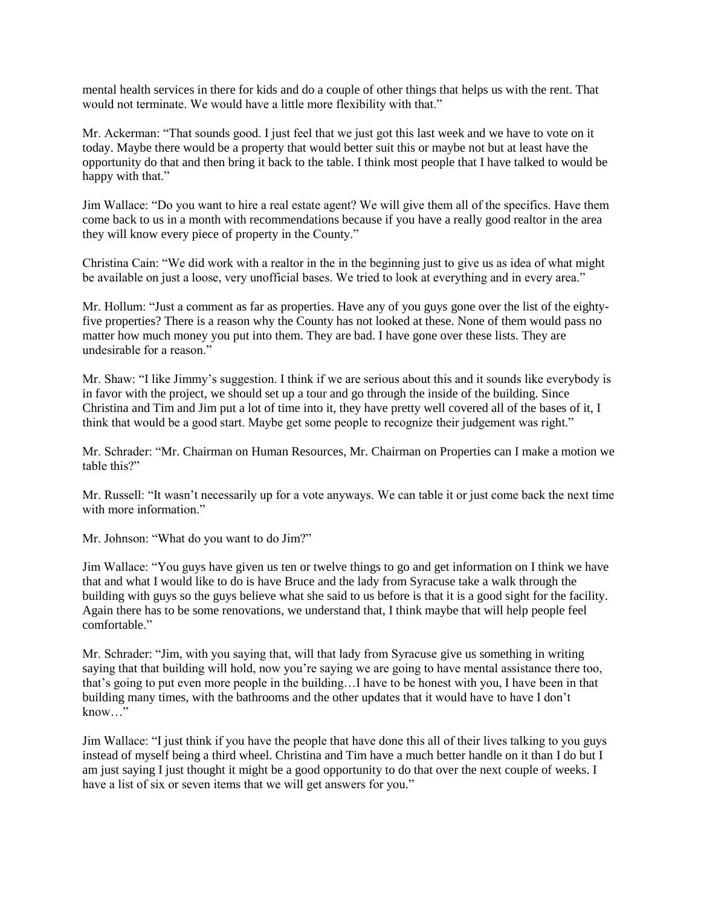mental health services in there for kids and do a couple of other things that helps us with the rent. That would not terminate. We would have a little more flexibility with that."

Mr. Ackerman: "That sounds good. I just feel that we just got this last week and we have to vote on it today. Maybe there would be a property that would better suit this or maybe not but at least have the opportunity do that and then bring it back to the table. I think most people that I have talked to would be happy with that."

Jim Wallace: "Do you want to hire a real estate agent? We will give them all of the specifics. Have them come back to us in a month with recommendations because if you have a really good realtor in the area they will know every piece of property in the County."

Christina Cain: "We did work with a realtor in the in the beginning just to give us as idea of what might be available on just a loose, very unofficial bases. We tried to look at everything and in every area."

Mr. Hollum: "Just a comment as far as properties. Have any of you guys gone over the list of the eightyfive properties? There is a reason why the County has not looked at these. None of them would pass no matter how much money you put into them. They are bad. I have gone over these lists. They are undesirable for a reason."

Mr. Shaw: "I like Jimmy's suggestion. I think if we are serious about this and it sounds like everybody is in favor with the project, we should set up a tour and go through the inside of the building. Since Christina and Tim and Jim put a lot of time into it, they have pretty well covered all of the bases of it, I think that would be a good start. Maybe get some people to recognize their judgement was right."

Mr. Schrader: "Mr. Chairman on Human Resources, Mr. Chairman on Properties can I make a motion we table this?"

Mr. Russell: "It wasn't necessarily up for a vote anyways. We can table it or just come back the next time with more information."

Mr. Johnson: "What do you want to do Jim?"

Jim Wallace: "You guys have given us ten or twelve things to go and get information on I think we have that and what I would like to do is have Bruce and the lady from Syracuse take a walk through the building with guys so the guys believe what she said to us before is that it is a good sight for the facility. Again there has to be some renovations, we understand that, I think maybe that will help people feel comfortable."

Mr. Schrader: "Jim, with you saying that, will that lady from Syracuse give us something in writing saying that that building will hold, now you're saying we are going to have mental assistance there too, that's going to put even more people in the building…I have to be honest with you, I have been in that building many times, with the bathrooms and the other updates that it would have to have I don't know…"

Jim Wallace: "I just think if you have the people that have done this all of their lives talking to you guys instead of myself being a third wheel. Christina and Tim have a much better handle on it than I do but I am just saying I just thought it might be a good opportunity to do that over the next couple of weeks. I have a list of six or seven items that we will get answers for you."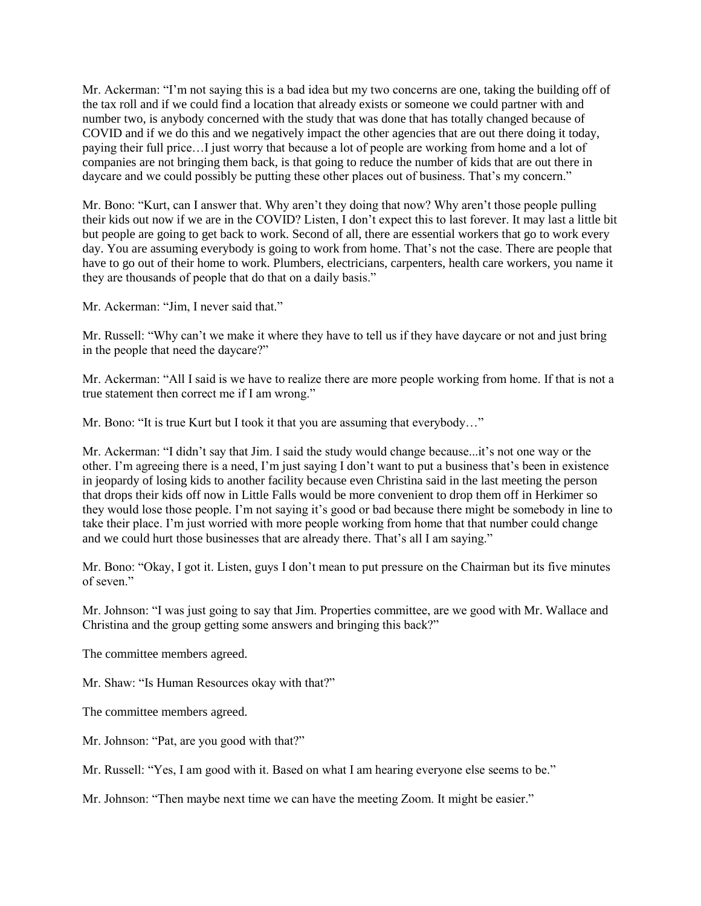Mr. Ackerman: "I'm not saying this is a bad idea but my two concerns are one, taking the building off of the tax roll and if we could find a location that already exists or someone we could partner with and number two, is anybody concerned with the study that was done that has totally changed because of COVID and if we do this and we negatively impact the other agencies that are out there doing it today, paying their full price…I just worry that because a lot of people are working from home and a lot of companies are not bringing them back, is that going to reduce the number of kids that are out there in daycare and we could possibly be putting these other places out of business. That's my concern."

Mr. Bono: "Kurt, can I answer that. Why aren't they doing that now? Why aren't those people pulling their kids out now if we are in the COVID? Listen, I don't expect this to last forever. It may last a little bit but people are going to get back to work. Second of all, there are essential workers that go to work every day. You are assuming everybody is going to work from home. That's not the case. There are people that have to go out of their home to work. Plumbers, electricians, carpenters, health care workers, you name it they are thousands of people that do that on a daily basis."

Mr. Ackerman: "Jim, I never said that."

Mr. Russell: "Why can't we make it where they have to tell us if they have daycare or not and just bring in the people that need the daycare?"

Mr. Ackerman: "All I said is we have to realize there are more people working from home. If that is not a true statement then correct me if I am wrong."

Mr. Bono: "It is true Kurt but I took it that you are assuming that everybody..."

Mr. Ackerman: "I didn't say that Jim. I said the study would change because...it's not one way or the other. I'm agreeing there is a need, I'm just saying I don't want to put a business that's been in existence in jeopardy of losing kids to another facility because even Christina said in the last meeting the person that drops their kids off now in Little Falls would be more convenient to drop them off in Herkimer so they would lose those people. I'm not saying it's good or bad because there might be somebody in line to take their place. I'm just worried with more people working from home that that number could change and we could hurt those businesses that are already there. That's all I am saying."

Mr. Bono: "Okay, I got it. Listen, guys I don't mean to put pressure on the Chairman but its five minutes of seven."

Mr. Johnson: "I was just going to say that Jim. Properties committee, are we good with Mr. Wallace and Christina and the group getting some answers and bringing this back?"

The committee members agreed.

Mr. Shaw: "Is Human Resources okay with that?"

The committee members agreed.

Mr. Johnson: "Pat, are you good with that?"

Mr. Russell: "Yes, I am good with it. Based on what I am hearing everyone else seems to be."

Mr. Johnson: "Then maybe next time we can have the meeting Zoom. It might be easier."